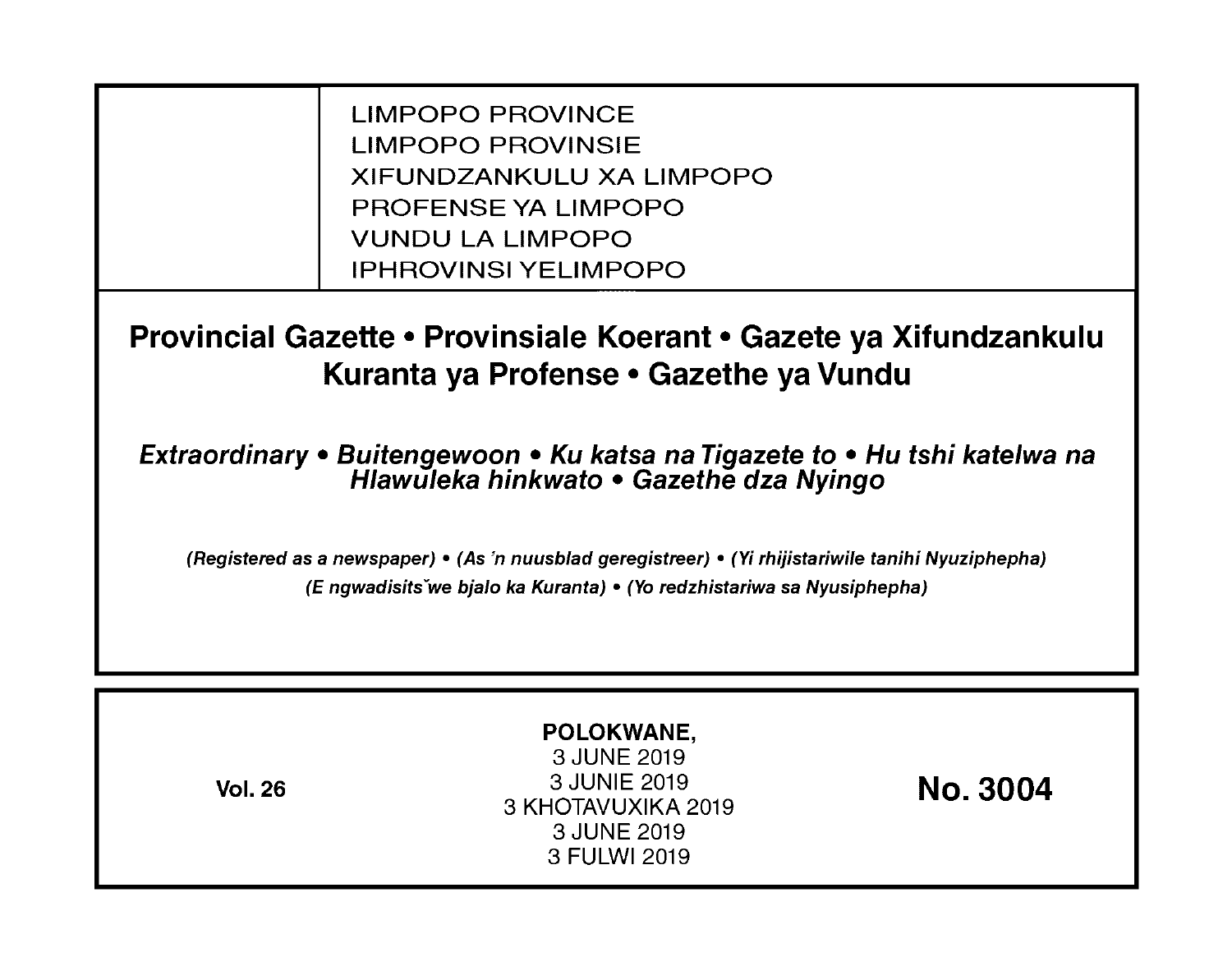LIMPOPO PROVINCE LIMPOPO PROVINSIE XIFUNDZANKULU XA LIMPOPO PROFENSE YA LIMPOPO VUNDU LA LIMPOPO IPHROVINSI YELIMPOPO

**Provincial Gazette • Provinsiale Koerant • Gazete ya Xifundzankulu Kuranta ya Profense • Gazethe ya Vundu** 

**Extraordinary • Buitengewoon • Ku katsa na Tigazete to • Hu tshi katelwa na Hlawuleka hinkwato • Gazethe dza Nyingo** 

(Registered as a newspaper) • (As 'n nuusblad geregistreer) • (Yi rhijistariwile tanihi Nyuziphepha) (E ngwadisitsVwe bjalo ka Kuranta) • (Yo redzhistariwa sa Nyusiphepha)

| POLOKWANE,<br>3 JUNE 2019<br>3 JUNIE 2019<br><b>Vol. 26</b><br>3 KHOTAVUXIKA 2019<br>3 JUNE 2019<br>3 FULWI 2019 | <b>No. 3004</b> |
|------------------------------------------------------------------------------------------------------------------|-----------------|
|------------------------------------------------------------------------------------------------------------------|-----------------|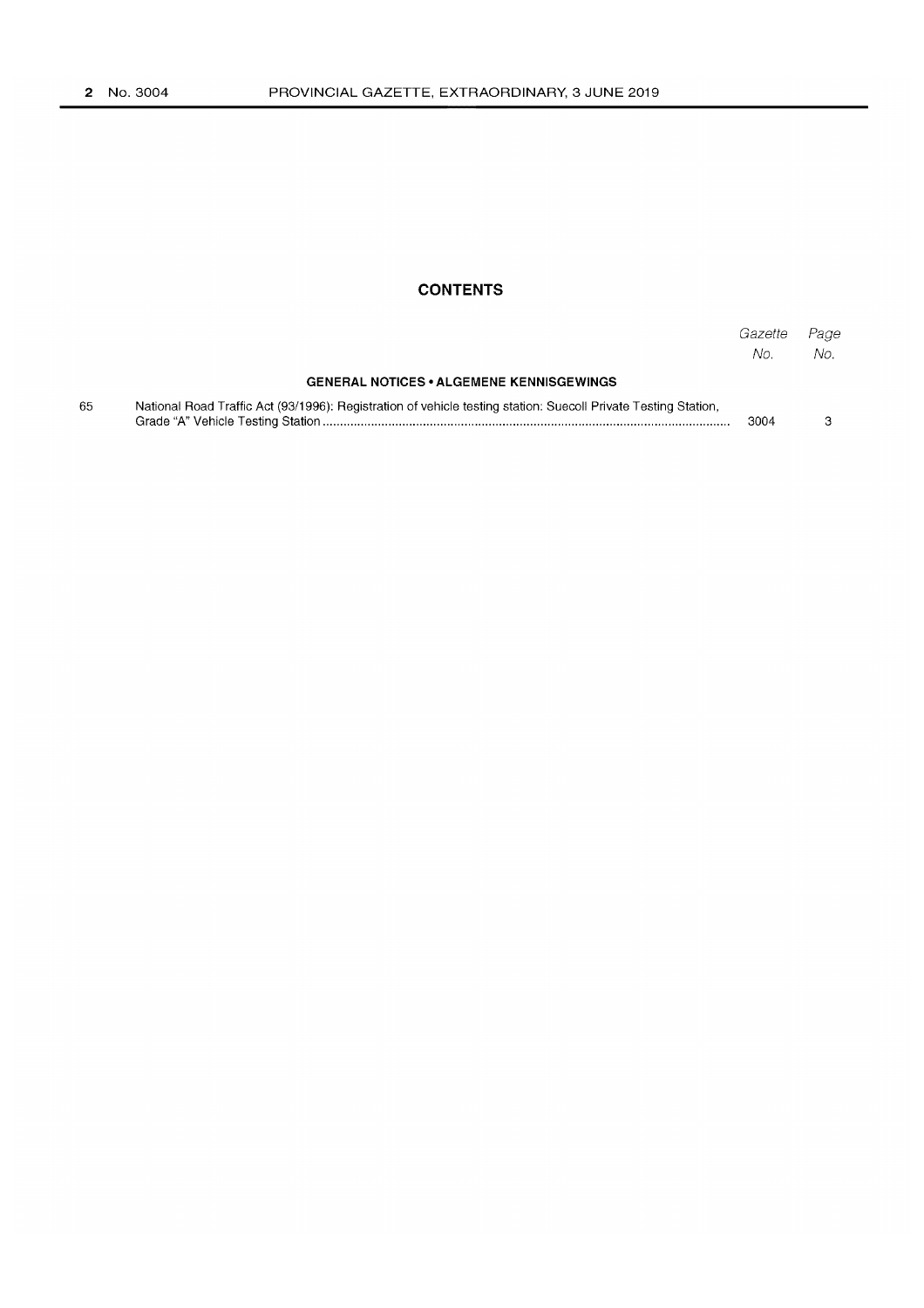## **CONTENTS**

|    |                                                                                                                | Gazette<br>No. | Page<br>No. |
|----|----------------------------------------------------------------------------------------------------------------|----------------|-------------|
|    | <b>GENERAL NOTICES • ALGEMENE KENNISGEWINGS</b>                                                                |                |             |
| 65 | National Road Traffic Act (93/1996): Registration of vehicle testing station: Suecoll Private Testing Station, | 3004           |             |